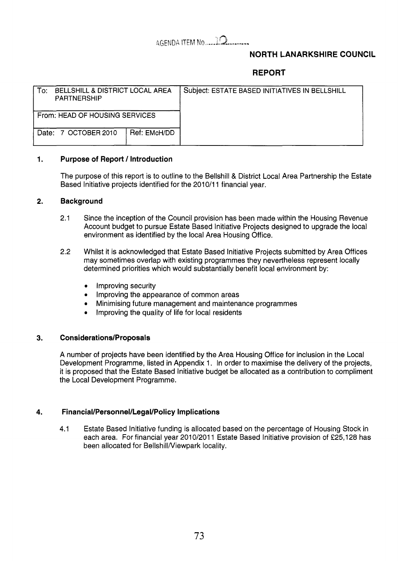# 4GEPJDA ITEM No. **..,j-Q....--w.-**

# **NORTH LANARKSHIRE COUNCIL**

# **REPORT**

| To:<br>BELLSHILL & DISTRICT LOCAL AREA<br>PARTNERSHIP |                      |              | Subject: ESTATE BASED INITIATIVES IN BELLSHILL |
|-------------------------------------------------------|----------------------|--------------|------------------------------------------------|
| From: HEAD OF HOUSING SERVICES                        |                      |              |                                                |
|                                                       | Date: 7 OCTOBER 2010 | Ref: EMcH/DD |                                                |

### **1. Purpose of Report** / **Introduction**

The purpose of this report is to outline to the Bellshill & District Local Area Partnership the Estate Based Initiative projects identified for the **2010/11** financial year.

#### **2. Background**

- **2.1** Since the inception of the Council provision has been made within the Housing Revenue Account budget to pursue Estate Based Initiative Projects designed to upgrade the local environment as identified by the local Area Housing Office.
- **2.2** Whilst it is acknowledged that Estate Based Initiative Projects submitted by Area Offices may sometimes overlap with existing programmes they nevertheless represent locally determined priorities which would substantially benefit local environment by:
	- Improving security
	- *0*  Improving the appearance of common areas
	- *0*  Minimising future management and maintenance programmes
	- *0*  Improving the quality of life for local residents

#### **3. Considerations/Proposals**

**A** number of projects have been identified **by** the Area Housing Office for inclusion in the Local Development Programme, listed in Appendix 1. In order to maximise the delivery of the projects, it is proposed that the Estate Based Initiative budget be allocated as a contribution to compliment the Local Development Programme.

### **4. Financial/Personnel/Legal/Policy Implications**

**4.1** Estate Based Initiative funding is allocated based on the percentage of Housing Stock in each area. For financial year **2010/2011** Estate Based Initiative provision of **f25,128** has been allocated for Bellshill/Viewpark locality.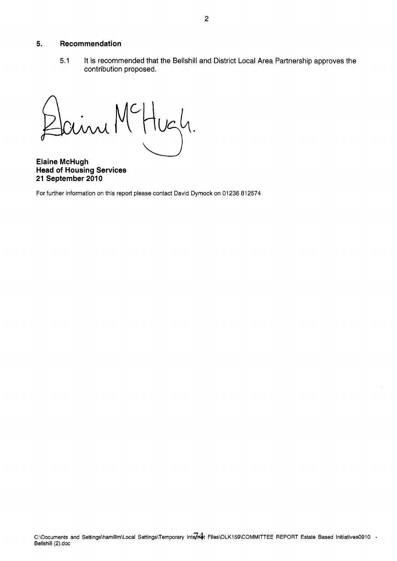#### **5. Recommendation**

5.1 It is recommended that the Bellshill and District Local Area Partnership approves the contribution proposed.

 $\sqrt{2}$ 

**Elaine McHugh Head of Housing Services 21 September 2010** 

For further information on this report please contact David Dymock on 01236 812574